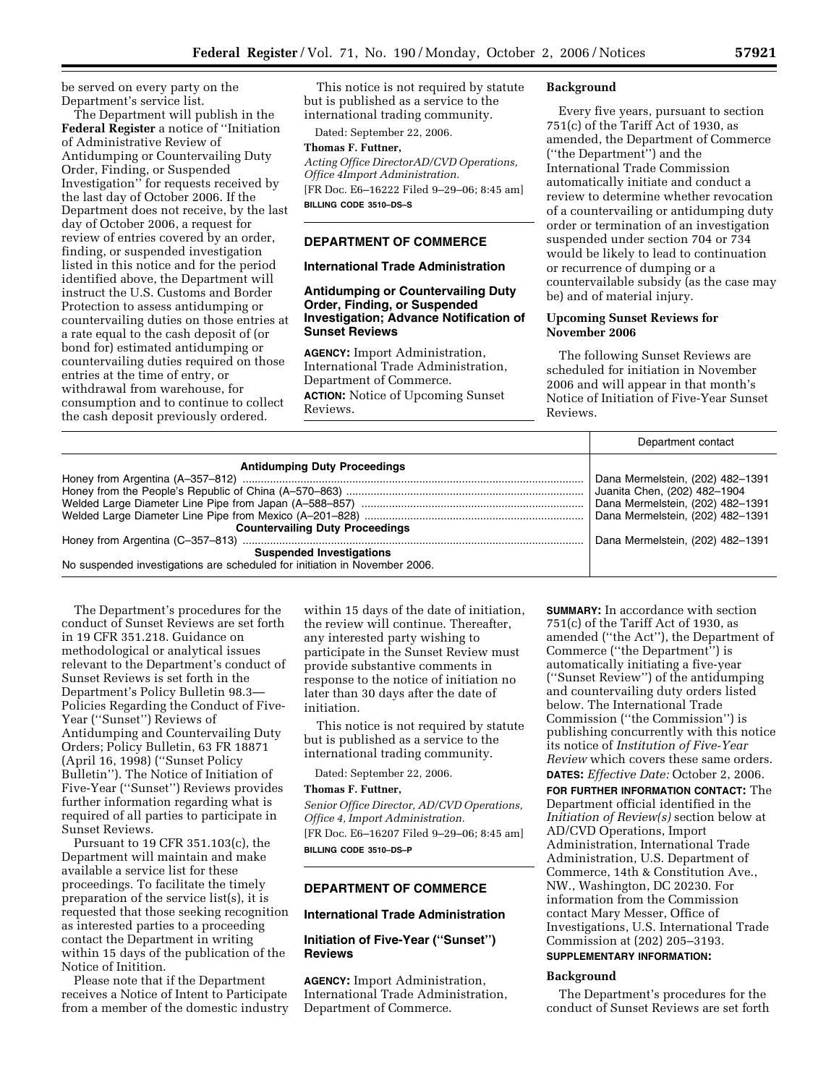be served on every party on the Department's service list.

The Department will publish in the **Federal Register** a notice of ''Initiation of Administrative Review of Antidumping or Countervailing Duty Order, Finding, or Suspended Investigation'' for requests received by the last day of October 2006. If the Department does not receive, by the last day of October 2006, a request for review of entries covered by an order, finding, or suspended investigation listed in this notice and for the period identified above, the Department will instruct the U.S. Customs and Border Protection to assess antidumping or countervailing duties on those entries at a rate equal to the cash deposit of (or bond for) estimated antidumping or countervailing duties required on those entries at the time of entry, or withdrawal from warehouse, for consumption and to continue to collect the cash deposit previously ordered.

This notice is not required by statute but is published as a service to the international trading community.

Dated: September 22, 2006.

**Thomas F. Futtner,** 

*Acting Office DirectorAD/CVD Operations, Office 4Import Administration.*  [FR Doc. E6–16222 Filed 9–29–06; 8:45 am] **BILLING CODE 3510–DS–S** 

### **DEPARTMENT OF COMMERCE**

### **International Trade Administration**

## **Antidumping or Countervailing Duty Order, Finding, or Suspended Investigation; Advance Notification of Sunset Reviews**

**AGENCY:** Import Administration, International Trade Administration, Department of Commerce. **ACTION:** Notice of Upcoming Sunset Reviews.

### **Background**

Every five years, pursuant to section 751(c) of the Tariff Act of 1930, as amended, the Department of Commerce (''the Department'') and the International Trade Commission automatically initiate and conduct a review to determine whether revocation of a countervailing or antidumping duty order or termination of an investigation suspended under section 704 or 734 would be likely to lead to continuation or recurrence of dumping or a countervailable subsidy (as the case may be) and of material injury.

### **Upcoming Sunset Reviews for November 2006**

The following Sunset Reviews are scheduled for initiation in November 2006 and will appear in that month's Notice of Initiation of Five-Year Sunset Reviews.

|                                                                            | Department contact               |
|----------------------------------------------------------------------------|----------------------------------|
| <b>Antidumping Duty Proceedings</b>                                        |                                  |
|                                                                            | Dana Mermelstein, (202) 482-1391 |
|                                                                            | Juanita Chen, (202) 482-1904     |
|                                                                            | Dana Mermelstein, (202) 482-1391 |
|                                                                            | Dana Mermelstein, (202) 482-1391 |
| <b>Countervailing Duty Proceedings</b>                                     |                                  |
|                                                                            | Dana Mermelstein, (202) 482-1391 |
| <b>Suspended Investigations</b>                                            |                                  |
| No suspended investigations are scheduled for initiation in November 2006. |                                  |

The Department's procedures for the conduct of Sunset Reviews are set forth in 19 CFR 351.218. Guidance on methodological or analytical issues relevant to the Department's conduct of Sunset Reviews is set forth in the Department's Policy Bulletin 98.3— Policies Regarding the Conduct of Five-Year (''Sunset'') Reviews of Antidumping and Countervailing Duty Orders; Policy Bulletin, 63 FR 18871 (April 16, 1998) (''Sunset Policy Bulletin''). The Notice of Initiation of Five-Year (''Sunset'') Reviews provides further information regarding what is required of all parties to participate in Sunset Reviews.

Pursuant to 19 CFR 351.103(c), the Department will maintain and make available a service list for these proceedings. To facilitate the timely preparation of the service list(s), it is requested that those seeking recognition as interested parties to a proceeding contact the Department in writing within 15 days of the publication of the Notice of Initition.

Please note that if the Department receives a Notice of Intent to Participate from a member of the domestic industry within 15 days of the date of initiation, the review will continue. Thereafter, any interested party wishing to participate in the Sunset Review must provide substantive comments in response to the notice of initiation no later than 30 days after the date of initiation.

This notice is not required by statute but is published as a service to the international trading community.

Dated: September 22, 2006.

### **Thomas F. Futtner,**

*Senior Office Director, AD/CVD Operations, Office 4, Import Administration.*  [FR Doc. E6–16207 Filed 9–29–06; 8:45 am] **BILLING CODE 3510–DS–P** 

## **DEPARTMENT OF COMMERCE**

### **International Trade Administration**

# **Initiation of Five-Year (''Sunset'') Reviews**

**AGENCY:** Import Administration, International Trade Administration, Department of Commerce.

**SUMMARY:** In accordance with section 751(c) of the Tariff Act of 1930, as amended (''the Act''), the Department of Commerce (''the Department'') is automatically initiating a five-year (''Sunset Review'') of the antidumping and countervailing duty orders listed below. The International Trade Commission (''the Commission'') is publishing concurrently with this notice its notice of *Institution of Five-Year Review* which covers these same orders.

**DATES:** *Effective Date:* October 2, 2006. **FOR FURTHER INFORMATION CONTACT:** The Department official identified in the *Initiation of Review(s)* section below at AD/CVD Operations, Import Administration, International Trade Administration, U.S. Department of Commerce, 14th & Constitution Ave., NW., Washington, DC 20230. For information from the Commission contact Mary Messer, Office of Investigations, U.S. International Trade Commission at (202) 205–3193.

# **SUPPLEMENTARY INFORMATION:**

### **Background**

The Department's procedures for the conduct of Sunset Reviews are set forth